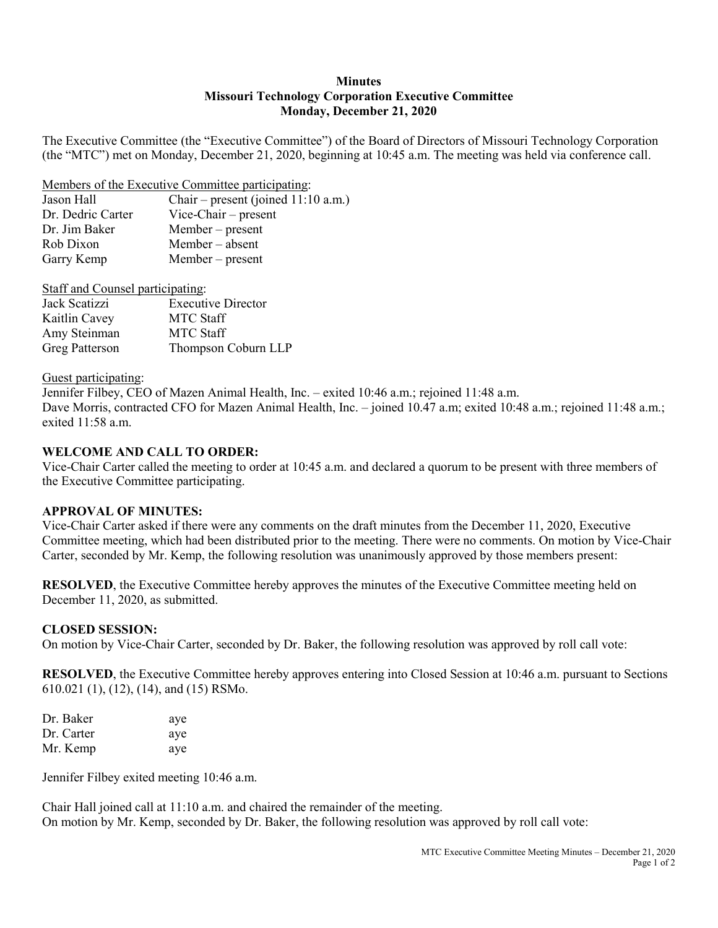#### **Minutes Missouri Technology Corporation Executive Committee Monday, December 21, 2020**

The Executive Committee (the "Executive Committee") of the Board of Directors of Missouri Technology Corporation (the "MTC") met on Monday, December 21, 2020, beginning at 10:45 a.m. The meeting was held via conference call.

Members of the Executive Committee participating:

| Jason Hall        | Chair – present (joined $11:10$ a.m.) |
|-------------------|---------------------------------------|
| Dr. Dedric Carter | Vice-Chair $-$ present                |
| Dr. Jim Baker     | $Member - present$                    |
| Rob Dixon         | Member – absent                       |
| Garry Kemp        | $Member - present$                    |
|                   |                                       |

| <b>Staff and Counsel participating:</b> |                           |  |
|-----------------------------------------|---------------------------|--|
| Jack Scatizzi                           | <b>Executive Director</b> |  |
| Kaitlin Cavey                           | <b>MTC</b> Staff          |  |
| Amy Steinman                            | <b>MTC Staff</b>          |  |
| Greg Patterson                          | Thompson Coburn LLP       |  |

#### Guest participating:

Jennifer Filbey, CEO of Mazen Animal Health, Inc. – exited 10:46 a.m.; rejoined 11:48 a.m. Dave Morris, contracted CFO for Mazen Animal Health, Inc. – joined 10.47 a.m; exited 10:48 a.m.; rejoined 11:48 a.m.; exited 11:58 a.m.

## **WELCOME AND CALL TO ORDER:**

Vice-Chair Carter called the meeting to order at 10:45 a.m. and declared a quorum to be present with three members of the Executive Committee participating.

## **APPROVAL OF MINUTES:**

Vice-Chair Carter asked if there were any comments on the draft minutes from the December 11, 2020, Executive Committee meeting, which had been distributed prior to the meeting. There were no comments. On motion by Vice-Chair Carter, seconded by Mr. Kemp, the following resolution was unanimously approved by those members present:

**RESOLVED**, the Executive Committee hereby approves the minutes of the Executive Committee meeting held on December 11, 2020, as submitted.

## **CLOSED SESSION:**

On motion by Vice-Chair Carter, seconded by Dr. Baker, the following resolution was approved by roll call vote:

**RESOLVED**, the Executive Committee hereby approves entering into Closed Session at 10:46 a.m. pursuant to Sections 610.021 (1), (12), (14), and (15) RSMo.

| Dr. Baker  | aye |
|------------|-----|
| Dr. Carter | aye |
| Mr. Kemp   | aye |

Jennifer Filbey exited meeting 10:46 a.m.

Chair Hall joined call at 11:10 a.m. and chaired the remainder of the meeting. On motion by Mr. Kemp, seconded by Dr. Baker, the following resolution was approved by roll call vote: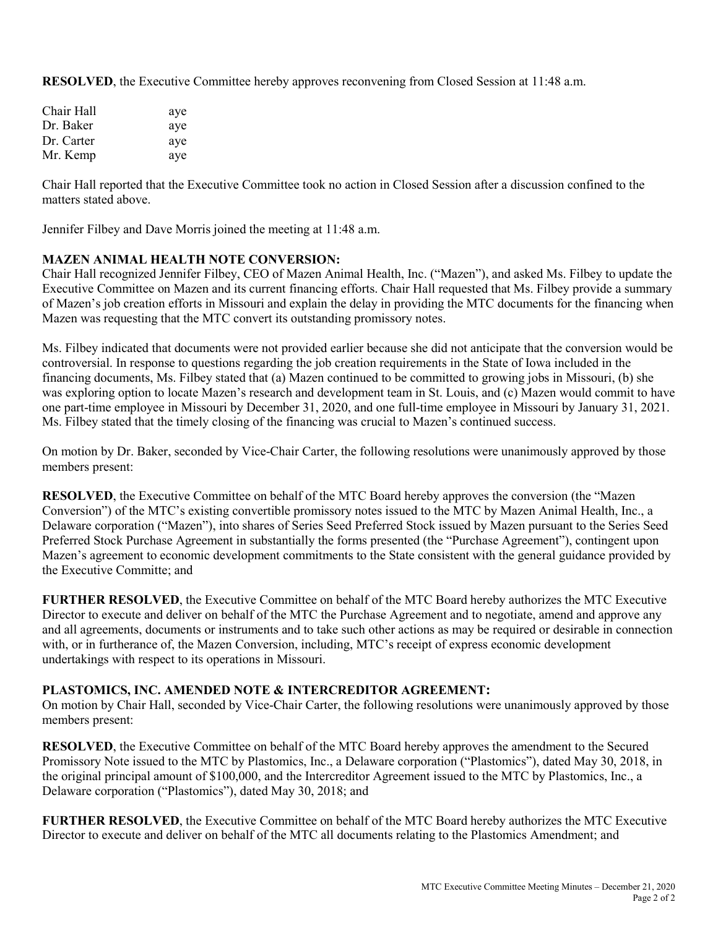**RESOLVED**, the Executive Committee hereby approves reconvening from Closed Session at 11:48 a.m.

| Chair Hall | aye |
|------------|-----|
| Dr. Baker  | aye |
| Dr. Carter | aye |
| Mr. Kemp   | aye |

Chair Hall reported that the Executive Committee took no action in Closed Session after a discussion confined to the matters stated above.

Jennifer Filbey and Dave Morris joined the meeting at 11:48 a.m.

### **MAZEN ANIMAL HEALTH NOTE CONVERSION:**

Chair Hall recognized Jennifer Filbey, CEO of Mazen Animal Health, Inc. ("Mazen"), and asked Ms. Filbey to update the Executive Committee on Mazen and its current financing efforts. Chair Hall requested that Ms. Filbey provide a summary of Mazen's job creation efforts in Missouri and explain the delay in providing the MTC documents for the financing when Mazen was requesting that the MTC convert its outstanding promissory notes.

Ms. Filbey indicated that documents were not provided earlier because she did not anticipate that the conversion would be controversial. In response to questions regarding the job creation requirements in the State of Iowa included in the financing documents, Ms. Filbey stated that (a) Mazen continued to be committed to growing jobs in Missouri, (b) she was exploring option to locate Mazen's research and development team in St. Louis, and (c) Mazen would commit to have one part-time employee in Missouri by December 31, 2020, and one full-time employee in Missouri by January 31, 2021. Ms. Filbey stated that the timely closing of the financing was crucial to Mazen's continued success.

On motion by Dr. Baker, seconded by Vice-Chair Carter, the following resolutions were unanimously approved by those members present:

**RESOLVED**, the Executive Committee on behalf of the MTC Board hereby approves the conversion (the "Mazen") Conversion") of the MTC's existing convertible promissory notes issued to the MTC by Mazen Animal Health, Inc., a Delaware corporation ("Mazen"), into shares of Series Seed Preferred Stock issued by Mazen pursuant to the Series Seed Preferred Stock Purchase Agreement in substantially the forms presented (the "Purchase Agreement"), contingent upon Mazen's agreement to economic development commitments to the State consistent with the general guidance provided by the Executive Committe; and

**FURTHER RESOLVED**, the Executive Committee on behalf of the MTC Board hereby authorizes the MTC Executive Director to execute and deliver on behalf of the MTC the Purchase Agreement and to negotiate, amend and approve any and all agreements, documents or instruments and to take such other actions as may be required or desirable in connection with, or in furtherance of, the Mazen Conversion, including, MTC's receipt of express economic development undertakings with respect to its operations in Missouri.

## **PLASTOMICS, INC. AMENDED NOTE & INTERCREDITOR AGREEMENT:**

On motion by Chair Hall, seconded by Vice-Chair Carter, the following resolutions were unanimously approved by those members present:

**RESOLVED**, the Executive Committee on behalf of the MTC Board hereby approves the amendment to the Secured Promissory Note issued to the MTC by Plastomics, Inc., a Delaware corporation ("Plastomics"), dated May 30, 2018, in the original principal amount of \$100,000, and the Intercreditor Agreement issued to the MTC by Plastomics, Inc., a Delaware corporation ("Plastomics"), dated May 30, 2018; and

**FURTHER RESOLVED**, the Executive Committee on behalf of the MTC Board hereby authorizes the MTC Executive Director to execute and deliver on behalf of the MTC all documents relating to the Plastomics Amendment; and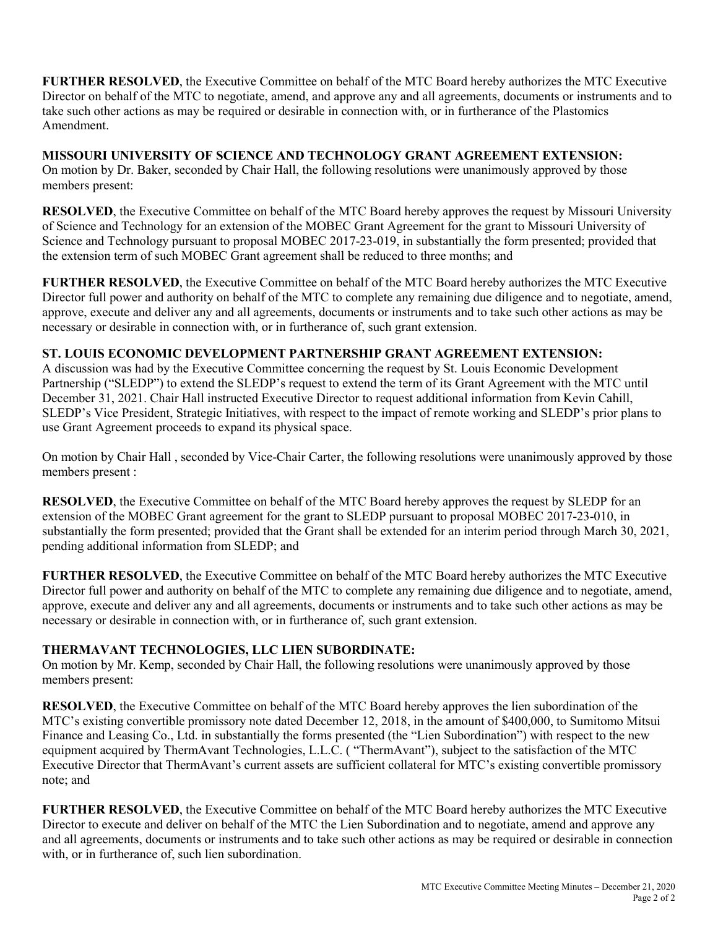**FURTHER RESOLVED**, the Executive Committee on behalf of the MTC Board hereby authorizes the MTC Executive Director on behalf of the MTC to negotiate, amend, and approve any and all agreements, documents or instruments and to take such other actions as may be required or desirable in connection with, or in furtherance of the Plastomics Amendment.

**MISSOURI UNIVERSITY OF SCIENCE AND TECHNOLOGY GRANT AGREEMENT EXTENSION:** On motion by Dr. Baker, seconded by Chair Hall, the following resolutions were unanimously approved by those members present:

**RESOLVED**, the Executive Committee on behalf of the MTC Board hereby approves the request by Missouri University of Science and Technology for an extension of the MOBEC Grant Agreement for the grant to Missouri University of Science and Technology pursuant to proposal MOBEC 2017-23-019, in substantially the form presented; provided that the extension term of such MOBEC Grant agreement shall be reduced to three months; and

**FURTHER RESOLVED**, the Executive Committee on behalf of the MTC Board hereby authorizes the MTC Executive Director full power and authority on behalf of the MTC to complete any remaining due diligence and to negotiate, amend, approve, execute and deliver any and all agreements, documents or instruments and to take such other actions as may be necessary or desirable in connection with, or in furtherance of, such grant extension.

## **ST. LOUIS ECONOMIC DEVELOPMENT PARTNERSHIP GRANT AGREEMENT EXTENSION:**

A discussion was had by the Executive Committee concerning the request by St. Louis Economic Development Partnership ("SLEDP") to extend the SLEDP's request to extend the term of its Grant Agreement with the MTC until December 31, 2021. Chair Hall instructed Executive Director to request additional information from Kevin Cahill, SLEDP's Vice President, Strategic Initiatives, with respect to the impact of remote working and SLEDP's prior plans to use Grant Agreement proceeds to expand its physical space.

On motion by Chair Hall , seconded by Vice-Chair Carter, the following resolutions were unanimously approved by those members present :

**RESOLVED**, the Executive Committee on behalf of the MTC Board hereby approves the request by SLEDP for an extension of the MOBEC Grant agreement for the grant to SLEDP pursuant to proposal MOBEC 2017-23-010, in substantially the form presented; provided that the Grant shall be extended for an interim period through March 30, 2021, pending additional information from SLEDP; and

**FURTHER RESOLVED**, the Executive Committee on behalf of the MTC Board hereby authorizes the MTC Executive Director full power and authority on behalf of the MTC to complete any remaining due diligence and to negotiate, amend, approve, execute and deliver any and all agreements, documents or instruments and to take such other actions as may be necessary or desirable in connection with, or in furtherance of, such grant extension.

# **THERMAVANT TECHNOLOGIES, LLC LIEN SUBORDINATE:**

On motion by Mr. Kemp, seconded by Chair Hall, the following resolutions were unanimously approved by those members present:

**RESOLVED**, the Executive Committee on behalf of the MTC Board hereby approves the lien subordination of the MTC's existing convertible promissory note dated December 12, 2018, in the amount of \$400,000, to Sumitomo Mitsui Finance and Leasing Co., Ltd. in substantially the forms presented (the "Lien Subordination") with respect to the new equipment acquired by ThermAvant Technologies, L.L.C. ( "ThermAvant"), subject to the satisfaction of the MTC Executive Director that ThermAvant's current assets are sufficient collateral for MTC's existing convertible promissory note; and

**FURTHER RESOLVED**, the Executive Committee on behalf of the MTC Board hereby authorizes the MTC Executive Director to execute and deliver on behalf of the MTC the Lien Subordination and to negotiate, amend and approve any and all agreements, documents or instruments and to take such other actions as may be required or desirable in connection with, or in furtherance of, such lien subordination.